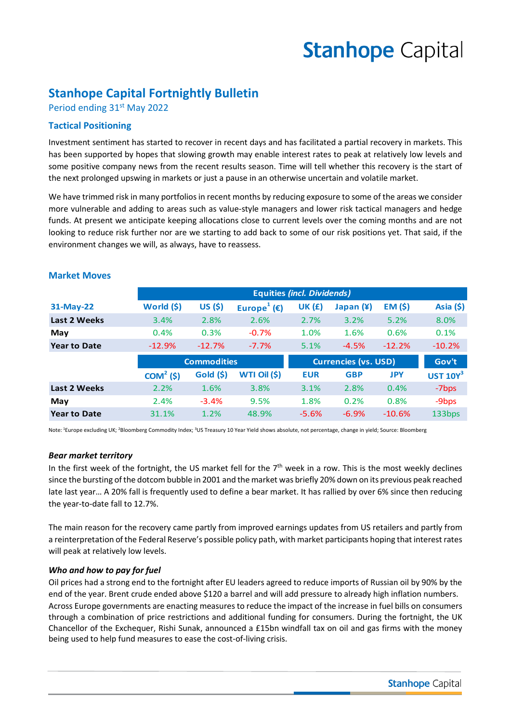# **Stanhope Capital**

# **Stanhope Capital Fortnightly Bulletin**

Period ending 31<sup>st</sup> May 2022

### **Tactical Positioning**

Investment sentiment has started to recover in recent days and has facilitated a partial recovery in markets. This has been supported by hopes that slowing growth may enable interest rates to peak at relatively low levels and some positive company news from the recent results season. Time will tell whether this recovery is the start of the next prolonged upswing in markets or just a pause in an otherwise uncertain and volatile market.

We have trimmed risk in many portfolios in recent months by reducing exposure to some of the areas we consider more vulnerable and adding to areas such as value-style managers and lower risk tactical managers and hedge funds. At present we anticipate keeping allocations close to current levels over the coming months and are not looking to reduce risk further nor are we starting to add back to some of our risk positions yet. That said, if the environment changes we will, as always, have to reassess.

|                     | <b>Equities (incl. Dividends)</b> |          |                                    |                             |             |                |                   |
|---------------------|-----------------------------------|----------|------------------------------------|-----------------------------|-------------|----------------|-------------------|
| 31-May-22           | World (\$)                        | US (\$)  | Europe <sup>1</sup> ( $\epsilon$ ) | <b>UK (£)</b>               | Japan $(*)$ | <b>EM (\$)</b> | Asia $(5)$        |
| Last 2 Weeks        | 3.4%                              | 2.8%     | 2.6%                               | 2.7%                        | 3.2%        | 5.2%           | 8.0%              |
| May                 | 0.4%                              | 0.3%     | $-0.7%$                            | 1.0%                        | 1.6%        | 0.6%           | 0.1%              |
| <b>Year to Date</b> | $-12.9%$                          | $-12.7%$ | $-7.7%$                            | 5.1%                        | $-4.5%$     | $-12.2%$       | $-10.2%$          |
|                     | <b>Commodities</b>                |          |                                    | <b>Currencies (vs. USD)</b> |             |                |                   |
|                     |                                   |          |                                    |                             |             |                | Gov't             |
|                     | $COM2(\xi)$                       | Gold (5) | WTI Oil (\$)                       | <b>EUR</b>                  | <b>GBP</b>  | <b>JPY</b>     | UST $10Y^3$       |
| Last 2 Weeks        | 2.2%                              | 1.6%     | 3.8%                               | 3.1%                        | 2.8%        | 0.4%           | -7bps             |
| May                 | 2.4%                              | $-3.4%$  | 9.5%                               | 1.8%                        | 0.2%        | 0.8%           | -9 <sub>bps</sub> |

#### **Market Moves**

Note: 1Europe excluding UK; 2Bloomberg Commodity Index; 3US Treasury 10 Year Yield shows absolute, not percentage, change in yield; Source: Bloomberg

#### *Bear market territory*

In the first week of the fortnight, the US market fell for the  $7<sup>th</sup>$  week in a row. This is the most weekly declines since the bursting of the dotcom bubble in 2001 and the market was briefly 20% down on its previous peak reached late last year… A 20% fall is frequently used to define a bear market. It has rallied by over 6% since then reducing the year-to-date fall to 12.7%.

The main reason for the recovery came partly from improved earnings updates from US retailers and partly from a reinterpretation of the Federal Reserve's possible policy path, with market participants hoping that interest rates will peak at relatively low levels.

#### *Who and how to pay for fuel*

Oil prices had a strong end to the fortnight after EU leaders agreed to reduce imports of Russian oil by 90% by the end of the year. Brent crude ended above \$120 a barrel and will add pressure to already high inflation numbers. Across Europe governments are enacting measures to reduce the impact of the increase in fuel bills on consumers through a combination of price restrictions and additional funding for consumers. During the fortnight, the UK Chancellor of the Exchequer, Rishi Sunak, announced a £15bn windfall tax on oil and gas firms with the money being used to help fund measures to ease the cost-of-living crisis.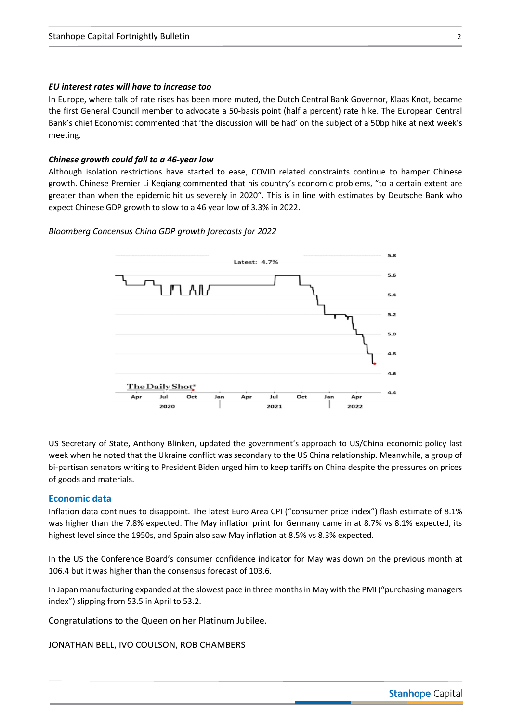#### *EU interest rates will have to increase too*

In Europe, where talk of rate rises has been more muted, the Dutch Central Bank Governor, Klaas Knot, became the first General Council member to advocate a 50-basis point (half a percent) rate hike. The European Central Bank's chief Economist commented that 'the discussion will be had' on the subject of a 50bp hike at next week's meeting.

#### *Chinese growth could fall to a 46-year low*

Although isolation restrictions have started to ease, COVID related constraints continue to hamper Chinese growth. Chinese Premier Li Keqiang commented that his country's economic problems, "to a certain extent are greater than when the epidemic hit us severely in 2020". This is in line with estimates by Deutsche Bank who expect Chinese GDP growth to slow to a 46 year low of 3.3% in 2022.

#### *Bloomberg Concensus China GDP growth forecasts for 2022*



US Secretary of State, Anthony Blinken, updated the government's approach to US/China economic policy last week when he noted that the Ukraine conflict was secondary to the US China relationship. Meanwhile, a group of bi-partisan senators writing to President Biden urged him to keep tariffs on China despite the pressures on prices of goods and materials.

#### **Economic data**

Inflation data continues to disappoint. The latest Euro Area CPI ("consumer price index") flash estimate of 8.1% was higher than the 7.8% expected. The May inflation print for Germany came in at 8.7% vs 8.1% expected, its highest level since the 1950s, and Spain also saw May inflation at 8.5% vs 8.3% expected.

In the US the Conference Board's consumer confidence indicator for May was down on the previous month at 106.4 but it was higher than the consensus forecast of 103.6.

In Japan manufacturing expanded at the slowest pace in three months in May with the PMI ("purchasing managers index") slipping from 53.5 in April to 53.2.

Congratulations to the Queen on her Platinum Jubilee.

JONATHAN BELL, IVO COULSON, ROB CHAMBERS